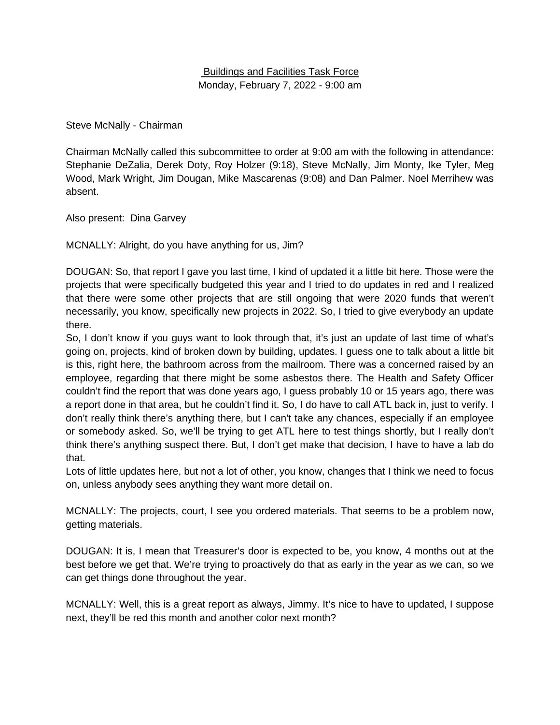## Buildings and Facilities Task Force Monday, February 7, 2022 - 9:00 am

Steve McNally - Chairman

Chairman McNally called this subcommittee to order at 9:00 am with the following in attendance: Stephanie DeZalia, Derek Doty, Roy Holzer (9:18), Steve McNally, Jim Monty, Ike Tyler, Meg Wood, Mark Wright, Jim Dougan, Mike Mascarenas (9:08) and Dan Palmer. Noel Merrihew was absent.

Also present: Dina Garvey

MCNALLY: Alright, do you have anything for us, Jim?

DOUGAN: So, that report I gave you last time, I kind of updated it a little bit here. Those were the projects that were specifically budgeted this year and I tried to do updates in red and I realized that there were some other projects that are still ongoing that were 2020 funds that weren't necessarily, you know, specifically new projects in 2022. So, I tried to give everybody an update there.

So, I don't know if you guys want to look through that, it's just an update of last time of what's going on, projects, kind of broken down by building, updates. I guess one to talk about a little bit is this, right here, the bathroom across from the mailroom. There was a concerned raised by an employee, regarding that there might be some asbestos there. The Health and Safety Officer couldn't find the report that was done years ago, I guess probably 10 or 15 years ago, there was a report done in that area, but he couldn't find it. So, I do have to call ATL back in, just to verify. I don't really think there's anything there, but I can't take any chances, especially if an employee or somebody asked. So, we'll be trying to get ATL here to test things shortly, but I really don't think there's anything suspect there. But, I don't get make that decision, I have to have a lab do that.

Lots of little updates here, but not a lot of other, you know, changes that I think we need to focus on, unless anybody sees anything they want more detail on.

MCNALLY: The projects, court, I see you ordered materials. That seems to be a problem now, getting materials.

DOUGAN: It is, I mean that Treasurer's door is expected to be, you know, 4 months out at the best before we get that. We're trying to proactively do that as early in the year as we can, so we can get things done throughout the year.

MCNALLY: Well, this is a great report as always, Jimmy. It's nice to have to updated, I suppose next, they'll be red this month and another color next month?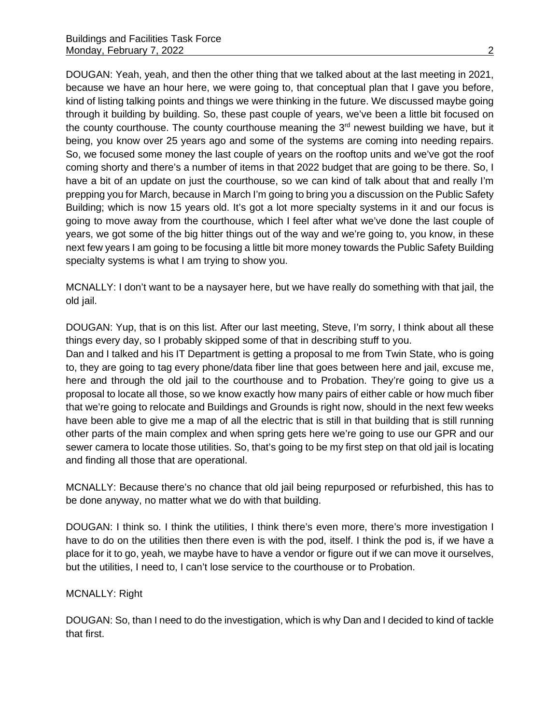DOUGAN: Yeah, yeah, and then the other thing that we talked about at the last meeting in 2021, because we have an hour here, we were going to, that conceptual plan that I gave you before, kind of listing talking points and things we were thinking in the future. We discussed maybe going through it building by building. So, these past couple of years, we've been a little bit focused on the county courthouse. The county courthouse meaning the  $3<sup>rd</sup>$  newest building we have, but it being, you know over 25 years ago and some of the systems are coming into needing repairs. So, we focused some money the last couple of years on the rooftop units and we've got the roof coming shorty and there's a number of items in that 2022 budget that are going to be there. So, I have a bit of an update on just the courthouse, so we can kind of talk about that and really I'm prepping you for March, because in March I'm going to bring you a discussion on the Public Safety Building; which is now 15 years old. It's got a lot more specialty systems in it and our focus is going to move away from the courthouse, which I feel after what we've done the last couple of years, we got some of the big hitter things out of the way and we're going to, you know, in these next few years I am going to be focusing a little bit more money towards the Public Safety Building specialty systems is what I am trying to show you.

MCNALLY: I don't want to be a naysayer here, but we have really do something with that jail, the old jail.

DOUGAN: Yup, that is on this list. After our last meeting, Steve, I'm sorry, I think about all these things every day, so I probably skipped some of that in describing stuff to you.

Dan and I talked and his IT Department is getting a proposal to me from Twin State, who is going to, they are going to tag every phone/data fiber line that goes between here and jail, excuse me, here and through the old jail to the courthouse and to Probation. They're going to give us a proposal to locate all those, so we know exactly how many pairs of either cable or how much fiber that we're going to relocate and Buildings and Grounds is right now, should in the next few weeks have been able to give me a map of all the electric that is still in that building that is still running other parts of the main complex and when spring gets here we're going to use our GPR and our sewer camera to locate those utilities. So, that's going to be my first step on that old jail is locating and finding all those that are operational.

MCNALLY: Because there's no chance that old jail being repurposed or refurbished, this has to be done anyway, no matter what we do with that building.

DOUGAN: I think so. I think the utilities, I think there's even more, there's more investigation I have to do on the utilities then there even is with the pod, itself. I think the pod is, if we have a place for it to go, yeah, we maybe have to have a vendor or figure out if we can move it ourselves, but the utilities, I need to, I can't lose service to the courthouse or to Probation.

#### MCNALLY: Right

DOUGAN: So, than I need to do the investigation, which is why Dan and I decided to kind of tackle that first.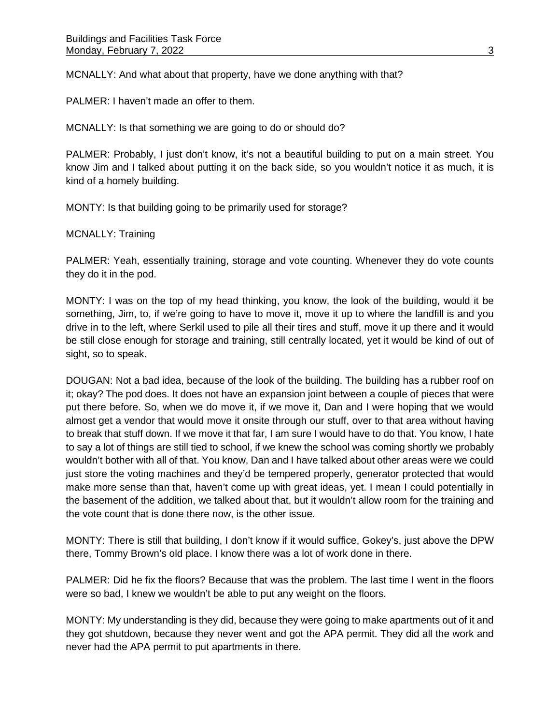MCNALLY: And what about that property, have we done anything with that?

PALMER: I haven't made an offer to them.

MCNALLY: Is that something we are going to do or should do?

PALMER: Probably, I just don't know, it's not a beautiful building to put on a main street. You know Jim and I talked about putting it on the back side, so you wouldn't notice it as much, it is kind of a homely building.

MONTY: Is that building going to be primarily used for storage?

MCNALLY: Training

PALMER: Yeah, essentially training, storage and vote counting. Whenever they do vote counts they do it in the pod.

MONTY: I was on the top of my head thinking, you know, the look of the building, would it be something, Jim, to, if we're going to have to move it, move it up to where the landfill is and you drive in to the left, where Serkil used to pile all their tires and stuff, move it up there and it would be still close enough for storage and training, still centrally located, yet it would be kind of out of sight, so to speak.

DOUGAN: Not a bad idea, because of the look of the building. The building has a rubber roof on it; okay? The pod does. It does not have an expansion joint between a couple of pieces that were put there before. So, when we do move it, if we move it, Dan and I were hoping that we would almost get a vendor that would move it onsite through our stuff, over to that area without having to break that stuff down. If we move it that far, I am sure I would have to do that. You know, I hate to say a lot of things are still tied to school, if we knew the school was coming shortly we probably wouldn't bother with all of that. You know, Dan and I have talked about other areas were we could just store the voting machines and they'd be tempered properly, generator protected that would make more sense than that, haven't come up with great ideas, yet. I mean I could potentially in the basement of the addition, we talked about that, but it wouldn't allow room for the training and the vote count that is done there now, is the other issue.

MONTY: There is still that building, I don't know if it would suffice, Gokey's, just above the DPW there, Tommy Brown's old place. I know there was a lot of work done in there.

PALMER: Did he fix the floors? Because that was the problem. The last time I went in the floors were so bad, I knew we wouldn't be able to put any weight on the floors.

MONTY: My understanding is they did, because they were going to make apartments out of it and they got shutdown, because they never went and got the APA permit. They did all the work and never had the APA permit to put apartments in there.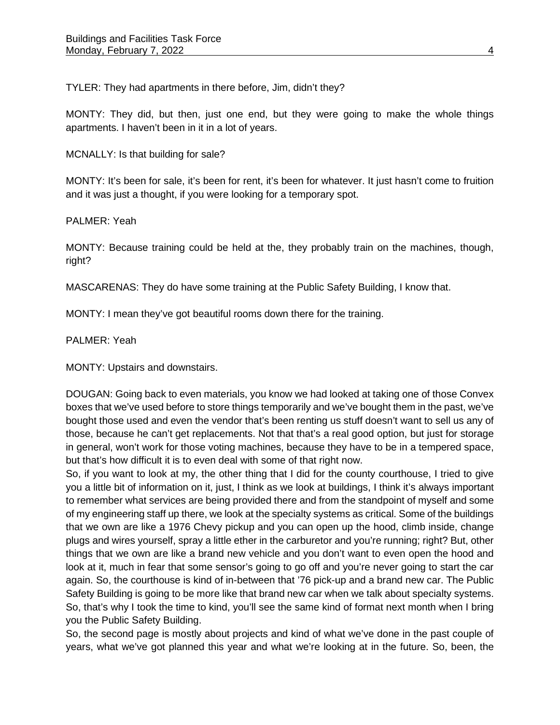TYLER: They had apartments in there before, Jim, didn't they?

MONTY: They did, but then, just one end, but they were going to make the whole things apartments. I haven't been in it in a lot of years.

MCNALLY: Is that building for sale?

MONTY: It's been for sale, it's been for rent, it's been for whatever. It just hasn't come to fruition and it was just a thought, if you were looking for a temporary spot.

PALMER: Yeah

MONTY: Because training could be held at the, they probably train on the machines, though, right?

MASCARENAS: They do have some training at the Public Safety Building, I know that.

MONTY: I mean they've got beautiful rooms down there for the training.

PALMER: Yeah

MONTY: Upstairs and downstairs.

DOUGAN: Going back to even materials, you know we had looked at taking one of those Convex boxes that we've used before to store things temporarily and we've bought them in the past, we've bought those used and even the vendor that's been renting us stuff doesn't want to sell us any of those, because he can't get replacements. Not that that's a real good option, but just for storage in general, won't work for those voting machines, because they have to be in a tempered space, but that's how difficult it is to even deal with some of that right now.

So, if you want to look at my, the other thing that I did for the county courthouse, I tried to give you a little bit of information on it, just, I think as we look at buildings, I think it's always important to remember what services are being provided there and from the standpoint of myself and some of my engineering staff up there, we look at the specialty systems as critical. Some of the buildings that we own are like a 1976 Chevy pickup and you can open up the hood, climb inside, change plugs and wires yourself, spray a little ether in the carburetor and you're running; right? But, other things that we own are like a brand new vehicle and you don't want to even open the hood and look at it, much in fear that some sensor's going to go off and you're never going to start the car again. So, the courthouse is kind of in-between that '76 pick-up and a brand new car. The Public Safety Building is going to be more like that brand new car when we talk about specialty systems. So, that's why I took the time to kind, you'll see the same kind of format next month when I bring you the Public Safety Building.

So, the second page is mostly about projects and kind of what we've done in the past couple of years, what we've got planned this year and what we're looking at in the future. So, been, the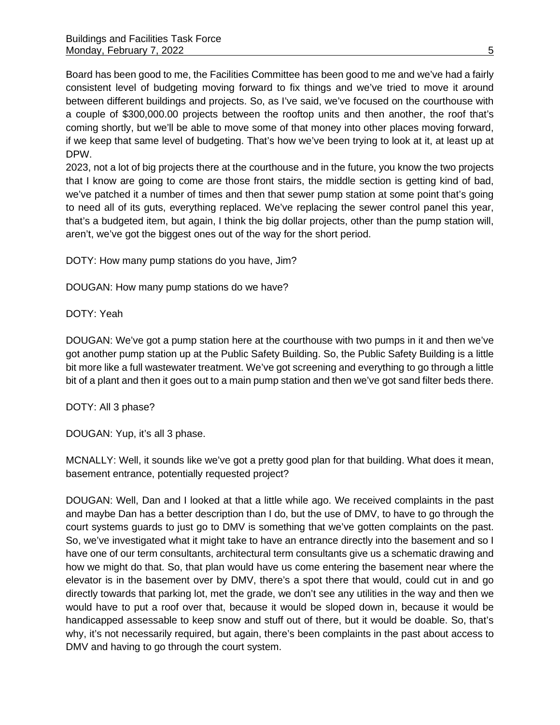Board has been good to me, the Facilities Committee has been good to me and we've had a fairly consistent level of budgeting moving forward to fix things and we've tried to move it around between different buildings and projects. So, as I've said, we've focused on the courthouse with a couple of \$300,000.00 projects between the rooftop units and then another, the roof that's coming shortly, but we'll be able to move some of that money into other places moving forward, if we keep that same level of budgeting. That's how we've been trying to look at it, at least up at DPW.

2023, not a lot of big projects there at the courthouse and in the future, you know the two projects that I know are going to come are those front stairs, the middle section is getting kind of bad, we've patched it a number of times and then that sewer pump station at some point that's going to need all of its guts, everything replaced. We've replacing the sewer control panel this year, that's a budgeted item, but again, I think the big dollar projects, other than the pump station will, aren't, we've got the biggest ones out of the way for the short period.

DOTY: How many pump stations do you have, Jim?

DOUGAN: How many pump stations do we have?

DOTY: Yeah

DOUGAN: We've got a pump station here at the courthouse with two pumps in it and then we've got another pump station up at the Public Safety Building. So, the Public Safety Building is a little bit more like a full wastewater treatment. We've got screening and everything to go through a little bit of a plant and then it goes out to a main pump station and then we've got sand filter beds there.

DOTY: All 3 phase?

DOUGAN: Yup, it's all 3 phase.

MCNALLY: Well, it sounds like we've got a pretty good plan for that building. What does it mean, basement entrance, potentially requested project?

DOUGAN: Well, Dan and I looked at that a little while ago. We received complaints in the past and maybe Dan has a better description than I do, but the use of DMV, to have to go through the court systems guards to just go to DMV is something that we've gotten complaints on the past. So, we've investigated what it might take to have an entrance directly into the basement and so I have one of our term consultants, architectural term consultants give us a schematic drawing and how we might do that. So, that plan would have us come entering the basement near where the elevator is in the basement over by DMV, there's a spot there that would, could cut in and go directly towards that parking lot, met the grade, we don't see any utilities in the way and then we would have to put a roof over that, because it would be sloped down in, because it would be handicapped assessable to keep snow and stuff out of there, but it would be doable. So, that's why, it's not necessarily required, but again, there's been complaints in the past about access to DMV and having to go through the court system.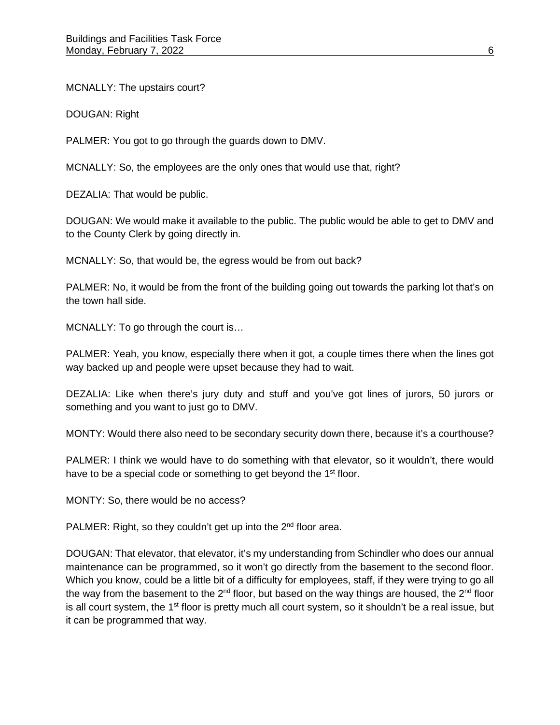MCNALLY: The upstairs court?

DOUGAN: Right

PALMER: You got to go through the guards down to DMV.

MCNALLY: So, the employees are the only ones that would use that, right?

DEZALIA: That would be public.

DOUGAN: We would make it available to the public. The public would be able to get to DMV and to the County Clerk by going directly in.

MCNALLY: So, that would be, the egress would be from out back?

PALMER: No, it would be from the front of the building going out towards the parking lot that's on the town hall side.

MCNALLY: To go through the court is…

PALMER: Yeah, you know, especially there when it got, a couple times there when the lines got way backed up and people were upset because they had to wait.

DEZALIA: Like when there's jury duty and stuff and you've got lines of jurors, 50 jurors or something and you want to just go to DMV.

MONTY: Would there also need to be secondary security down there, because it's a courthouse?

PALMER: I think we would have to do something with that elevator, so it wouldn't, there would have to be a special code or something to get beyond the 1<sup>st</sup> floor.

MONTY: So, there would be no access?

PALMER: Right, so they couldn't get up into the 2<sup>nd</sup> floor area.

DOUGAN: That elevator, that elevator, it's my understanding from Schindler who does our annual maintenance can be programmed, so it won't go directly from the basement to the second floor. Which you know, could be a little bit of a difficulty for employees, staff, if they were trying to go all the way from the basement to the  $2^{nd}$  floor, but based on the way things are housed, the  $2^{nd}$  floor is all court system, the  $1<sup>st</sup>$  floor is pretty much all court system, so it shouldn't be a real issue, but it can be programmed that way.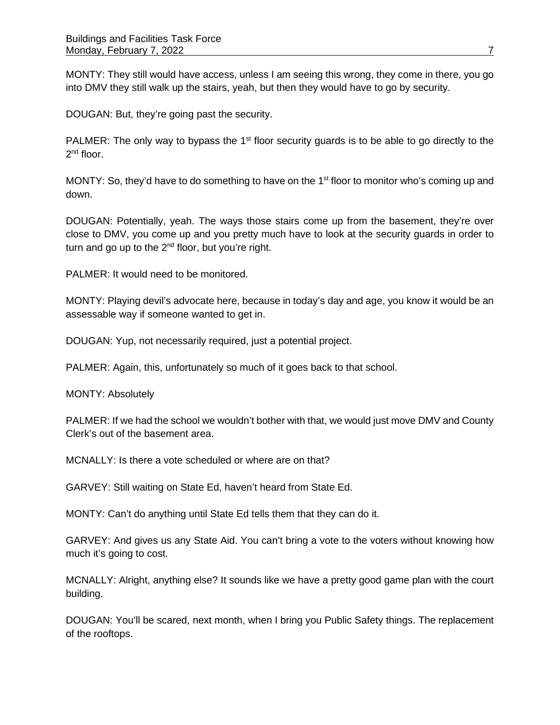MONTY: They still would have access, unless I am seeing this wrong, they come in there, you go into DMV they still walk up the stairs, yeah, but then they would have to go by security.

DOUGAN: But, they're going past the security.

PALMER: The only way to bypass the 1<sup>st</sup> floor security guards is to be able to go directly to the 2<sup>nd</sup> floor.

MONTY: So, they'd have to do something to have on the 1<sup>st</sup> floor to monitor who's coming up and down.

DOUGAN: Potentially, yeah. The ways those stairs come up from the basement, they're over close to DMV, you come up and you pretty much have to look at the security guards in order to turn and go up to the 2<sup>nd</sup> floor, but you're right.

PALMER: It would need to be monitored.

MONTY: Playing devil's advocate here, because in today's day and age, you know it would be an assessable way if someone wanted to get in.

DOUGAN: Yup, not necessarily required, just a potential project.

PALMER: Again, this, unfortunately so much of it goes back to that school.

MONTY: Absolutely

PALMER: If we had the school we wouldn't bother with that, we would just move DMV and County Clerk's out of the basement area.

MCNALLY: Is there a vote scheduled or where are on that?

GARVEY: Still waiting on State Ed, haven't heard from State Ed.

MONTY: Can't do anything until State Ed tells them that they can do it.

GARVEY: And gives us any State Aid. You can't bring a vote to the voters without knowing how much it's going to cost.

MCNALLY: Alright, anything else? It sounds like we have a pretty good game plan with the court building.

DOUGAN: You'll be scared, next month, when I bring you Public Safety things. The replacement of the rooftops.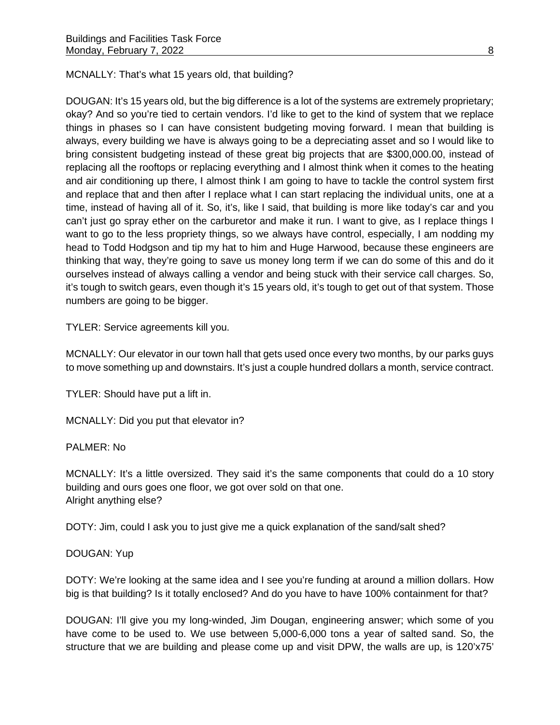MCNALLY: That's what 15 years old, that building?

DOUGAN: It's 15 years old, but the big difference is a lot of the systems are extremely proprietary; okay? And so you're tied to certain vendors. I'd like to get to the kind of system that we replace things in phases so I can have consistent budgeting moving forward. I mean that building is always, every building we have is always going to be a depreciating asset and so I would like to bring consistent budgeting instead of these great big projects that are \$300,000.00, instead of replacing all the rooftops or replacing everything and I almost think when it comes to the heating and air conditioning up there, I almost think I am going to have to tackle the control system first and replace that and then after I replace what I can start replacing the individual units, one at a time, instead of having all of it. So, it's, like I said, that building is more like today's car and you can't just go spray ether on the carburetor and make it run. I want to give, as I replace things I want to go to the less propriety things, so we always have control, especially, I am nodding my head to Todd Hodgson and tip my hat to him and Huge Harwood, because these engineers are thinking that way, they're going to save us money long term if we can do some of this and do it ourselves instead of always calling a vendor and being stuck with their service call charges. So, it's tough to switch gears, even though it's 15 years old, it's tough to get out of that system. Those numbers are going to be bigger.

TYLER: Service agreements kill you.

MCNALLY: Our elevator in our town hall that gets used once every two months, by our parks guys to move something up and downstairs. It's just a couple hundred dollars a month, service contract.

TYLER: Should have put a lift in.

MCNALLY: Did you put that elevator in?

PALMER: No

MCNALLY: It's a little oversized. They said it's the same components that could do a 10 story building and ours goes one floor, we got over sold on that one. Alright anything else?

DOTY: Jim, could I ask you to just give me a quick explanation of the sand/salt shed?

# DOUGAN: Yup

DOTY: We're looking at the same idea and I see you're funding at around a million dollars. How big is that building? Is it totally enclosed? And do you have to have 100% containment for that?

DOUGAN: I'll give you my long-winded, Jim Dougan, engineering answer; which some of you have come to be used to. We use between 5,000-6,000 tons a year of salted sand. So, the structure that we are building and please come up and visit DPW, the walls are up, is 120'x75'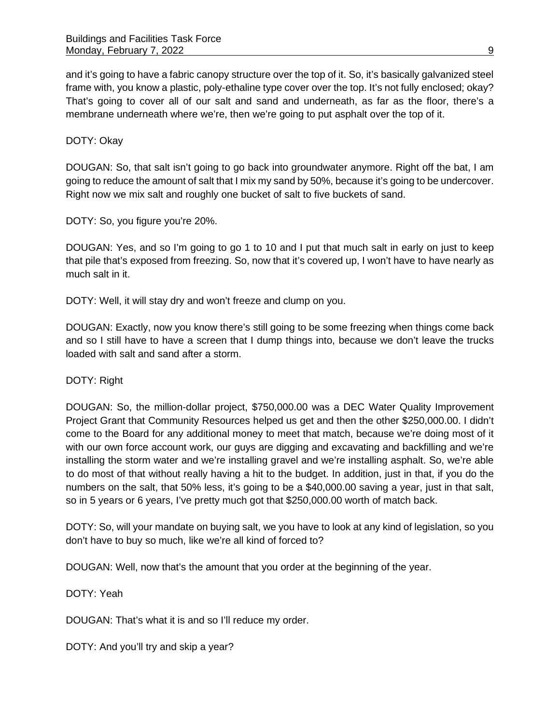and it's going to have a fabric canopy structure over the top of it. So, it's basically galvanized steel frame with, you know a plastic, poly-ethaline type cover over the top. It's not fully enclosed; okay? That's going to cover all of our salt and sand and underneath, as far as the floor, there's a membrane underneath where we're, then we're going to put asphalt over the top of it.

#### DOTY: Okay

DOUGAN: So, that salt isn't going to go back into groundwater anymore. Right off the bat, I am going to reduce the amount of salt that I mix my sand by 50%, because it's going to be undercover. Right now we mix salt and roughly one bucket of salt to five buckets of sand.

DOTY: So, you figure you're 20%.

DOUGAN: Yes, and so I'm going to go 1 to 10 and I put that much salt in early on just to keep that pile that's exposed from freezing. So, now that it's covered up, I won't have to have nearly as much salt in it.

DOTY: Well, it will stay dry and won't freeze and clump on you.

DOUGAN: Exactly, now you know there's still going to be some freezing when things come back and so I still have to have a screen that I dump things into, because we don't leave the trucks loaded with salt and sand after a storm.

#### DOTY: Right

DOUGAN: So, the million-dollar project, \$750,000.00 was a DEC Water Quality Improvement Project Grant that Community Resources helped us get and then the other \$250,000.00. I didn't come to the Board for any additional money to meet that match, because we're doing most of it with our own force account work, our guys are digging and excavating and backfilling and we're installing the storm water and we're installing gravel and we're installing asphalt. So, we're able to do most of that without really having a hit to the budget. In addition, just in that, if you do the numbers on the salt, that 50% less, it's going to be a \$40,000.00 saving a year, just in that salt, so in 5 years or 6 years, I've pretty much got that \$250,000.00 worth of match back.

DOTY: So, will your mandate on buying salt, we you have to look at any kind of legislation, so you don't have to buy so much, like we're all kind of forced to?

DOUGAN: Well, now that's the amount that you order at the beginning of the year.

DOTY: Yeah

DOUGAN: That's what it is and so I'll reduce my order.

DOTY: And you'll try and skip a year?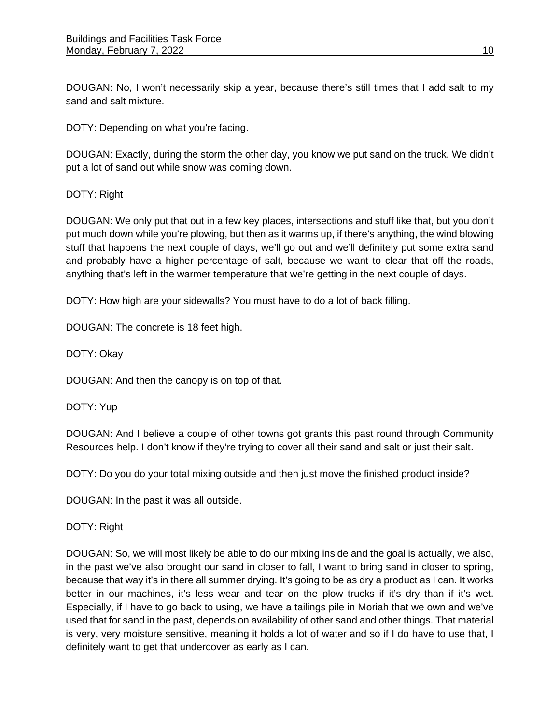DOUGAN: No, I won't necessarily skip a year, because there's still times that I add salt to my sand and salt mixture.

DOTY: Depending on what you're facing.

DOUGAN: Exactly, during the storm the other day, you know we put sand on the truck. We didn't put a lot of sand out while snow was coming down.

## DOTY: Right

DOUGAN: We only put that out in a few key places, intersections and stuff like that, but you don't put much down while you're plowing, but then as it warms up, if there's anything, the wind blowing stuff that happens the next couple of days, we'll go out and we'll definitely put some extra sand and probably have a higher percentage of salt, because we want to clear that off the roads, anything that's left in the warmer temperature that we're getting in the next couple of days.

DOTY: How high are your sidewalls? You must have to do a lot of back filling.

DOUGAN: The concrete is 18 feet high.

DOTY: Okay

DOUGAN: And then the canopy is on top of that.

DOTY: Yup

DOUGAN: And I believe a couple of other towns got grants this past round through Community Resources help. I don't know if they're trying to cover all their sand and salt or just their salt.

DOTY: Do you do your total mixing outside and then just move the finished product inside?

DOUGAN: In the past it was all outside.

#### DOTY: Right

DOUGAN: So, we will most likely be able to do our mixing inside and the goal is actually, we also, in the past we've also brought our sand in closer to fall, I want to bring sand in closer to spring, because that way it's in there all summer drying. It's going to be as dry a product as I can. It works better in our machines, it's less wear and tear on the plow trucks if it's dry than if it's wet. Especially, if I have to go back to using, we have a tailings pile in Moriah that we own and we've used that for sand in the past, depends on availability of other sand and other things. That material is very, very moisture sensitive, meaning it holds a lot of water and so if I do have to use that, I definitely want to get that undercover as early as I can.